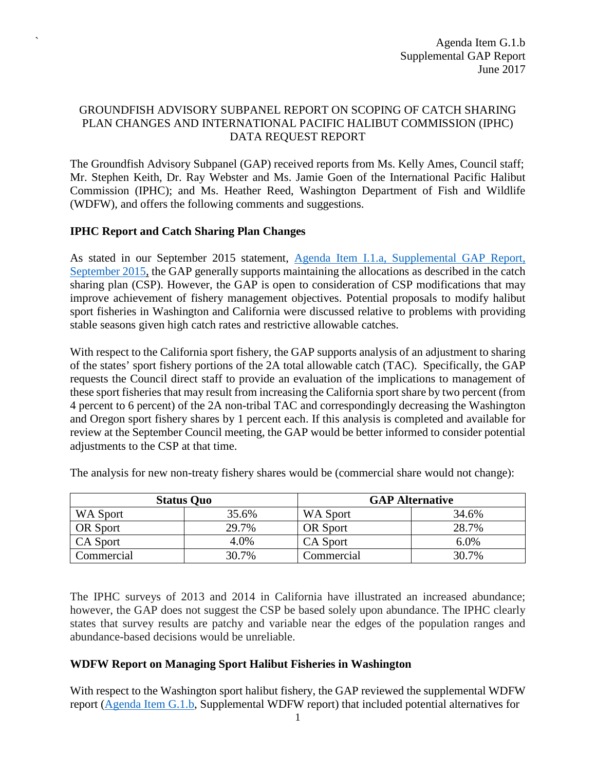### GROUNDFISH ADVISORY SUBPANEL REPORT ON SCOPING OF CATCH SHARING PLAN CHANGES AND INTERNATIONAL PACIFIC HALIBUT COMMISSION (IPHC) DATA REQUEST REPORT

The Groundfish Advisory Subpanel (GAP) received reports from Ms. Kelly Ames, Council staff; Mr. Stephen Keith, Dr. Ray Webster and Ms. Jamie Goen of the International Pacific Halibut Commission (IPHC); and Ms. Heather Reed, Washington Department of Fish and Wildlife (WDFW), and offers the following comments and suggestions.

#### **IPHC Report and Catch Sharing Plan Changes**

`

As stated in our September 2015 statement, [Agenda Item I.1.a, Supplemental GAP Report,](http://www.pcouncil.org/wp-content/uploads/2015/09/I1a_SUP_GAP_Rpt_SEPT2015BB.pdf)  [September 2015,](http://www.pcouncil.org/wp-content/uploads/2015/09/I1a_SUP_GAP_Rpt_SEPT2015BB.pdf) the GAP generally supports maintaining the allocations as described in the catch sharing plan (CSP). However, the GAP is open to consideration of CSP modifications that may improve achievement of fishery management objectives. Potential proposals to modify halibut sport fisheries in Washington and California were discussed relative to problems with providing stable seasons given high catch rates and restrictive allowable catches.

With respect to the California sport fishery, the GAP supports analysis of an adjustment to sharing of the states' sport fishery portions of the 2A total allowable catch (TAC). Specifically, the GAP requests the Council direct staff to provide an evaluation of the implications to management of these sport fisheries that may result from increasing the California sport share by two percent (from 4 percent to 6 percent) of the 2A non-tribal TAC and correspondingly decreasing the Washington and Oregon sport fishery shares by 1 percent each. If this analysis is completed and available for review at the September Council meeting, the GAP would be better informed to consider potential adjustments to the CSP at that time.

| <b>Status Quo</b> |       | <b>GAP Alternative</b> |         |
|-------------------|-------|------------------------|---------|
| WA Sport          | 35.6% | WA Sport               | 34.6%   |
| OR Sport          | 29.7% | <b>OR</b> Sport        | 28.7%   |
| CA Sport          | 4.0%  | <b>CA</b> Sport        | $6.0\%$ |
| Commercial        | 30.7% | Commercial             | 30.7%   |

The analysis for new non-treaty fishery shares would be (commercial share would not change):

The IPHC surveys of 2013 and 2014 in California have illustrated an increased abundance; however, the GAP does not suggest the CSP be based solely upon abundance. The IPHC clearly states that survey results are patchy and variable near the edges of the population ranges and abundance-based decisions would be unreliable.

#### **WDFW Report on Managing Sport Halibut Fisheries in Washington**

With respect to the Washington sport halibut fishery, the GAP reviewed the supplemental WDFW report [\(Agenda Item G.1.b,](http://www.pcouncil.org/wp-content/uploads/2017/06/G1b_Sup_WDFW_Rpt_Jun2017BB.pdf) Supplemental WDFW report) that included potential alternatives for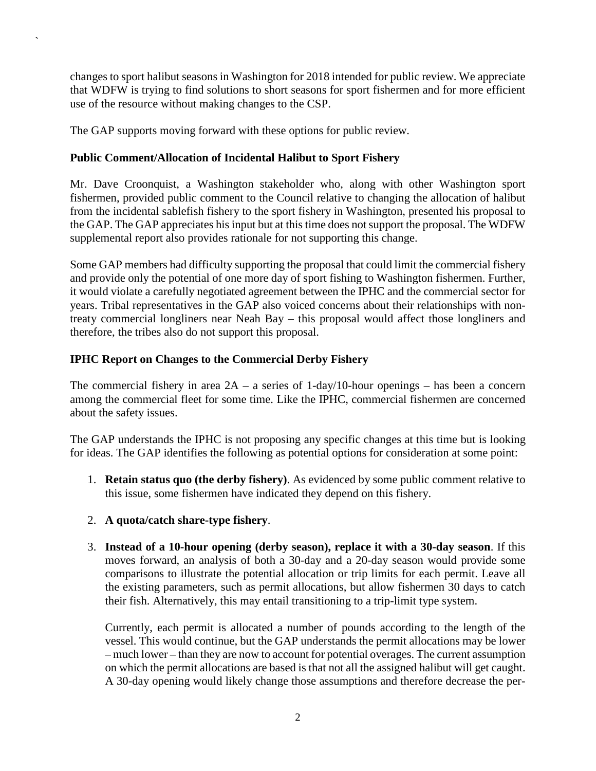changes to sport halibut seasons in Washington for 2018 intended for public review. We appreciate that WDFW is trying to find solutions to short seasons for sport fishermen and for more efficient use of the resource without making changes to the CSP.

The GAP supports moving forward with these options for public review.

`

## **Public Comment/Allocation of Incidental Halibut to Sport Fishery**

Mr. Dave Croonquist, a Washington stakeholder who, along with other Washington sport fishermen, provided public comment to the Council relative to changing the allocation of halibut from the incidental sablefish fishery to the sport fishery in Washington, presented his proposal to the GAP. The GAP appreciates his input but at this time does not support the proposal. The WDFW supplemental report also provides rationale for not supporting this change.

Some GAP members had difficulty supporting the proposal that could limit the commercial fishery and provide only the potential of one more day of sport fishing to Washington fishermen. Further, it would violate a carefully negotiated agreement between the IPHC and the commercial sector for years. Tribal representatives in the GAP also voiced concerns about their relationships with nontreaty commercial longliners near Neah Bay – this proposal would affect those longliners and therefore, the tribes also do not support this proposal.

# **IPHC Report on Changes to the Commercial Derby Fishery**

The commercial fishery in area  $2A - a$  series of 1-day/10-hour openings – has been a concern among the commercial fleet for some time. Like the IPHC, commercial fishermen are concerned about the safety issues.

The GAP understands the IPHC is not proposing any specific changes at this time but is looking for ideas. The GAP identifies the following as potential options for consideration at some point:

- 1. **Retain status quo (the derby fishery)**. As evidenced by some public comment relative to this issue, some fishermen have indicated they depend on this fishery.
- 2. **A quota/catch share-type fishery**.
- 3. **Instead of a 10-hour opening (derby season), replace it with a 30-day season**. If this moves forward, an analysis of both a 30-day and a 20-day season would provide some comparisons to illustrate the potential allocation or trip limits for each permit. Leave all the existing parameters, such as permit allocations, but allow fishermen 30 days to catch their fish. Alternatively, this may entail transitioning to a trip-limit type system.

Currently, each permit is allocated a number of pounds according to the length of the vessel. This would continue, but the GAP understands the permit allocations may be lower – much lower – than they are now to account for potential overages. The current assumption on which the permit allocations are based is that not all the assigned halibut will get caught. A 30-day opening would likely change those assumptions and therefore decrease the per-